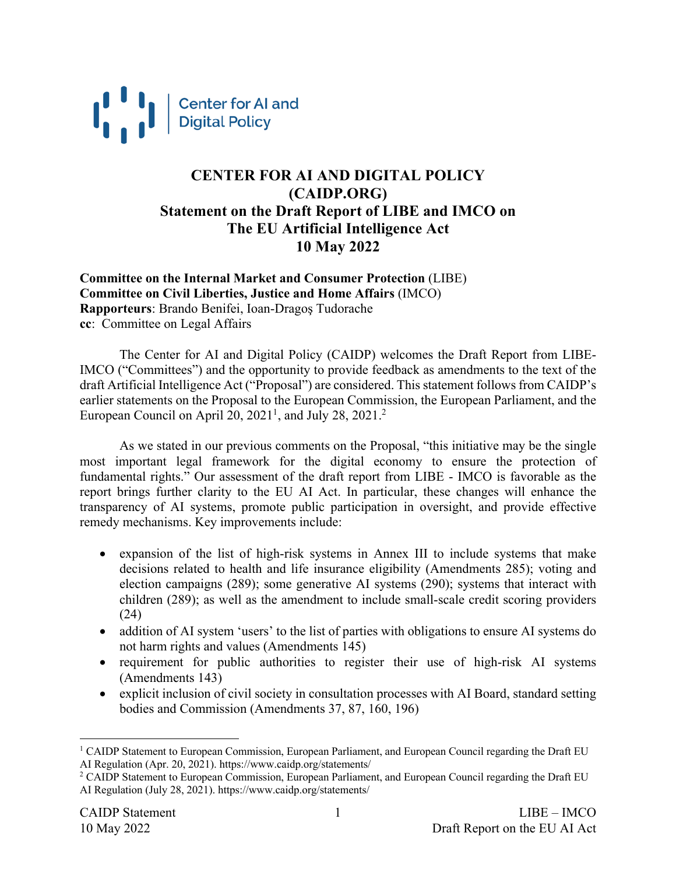

### **CENTER FOR AI AND DIGITAL POLICY (CAIDP.ORG) Statement on the Draft Report of LIBE and IMCO on The EU Artificial Intelligence Act 10 May 2022**

**Committee on the Internal Market and Consumer Protection** (LIBE) **Committee on Civil Liberties, Justice and Home Affairs** (IMCO) **Rapporteurs**: Brando Benifei, Ioan-Dragoş Tudorache **cc**: Committee on Legal Affairs

The Center for AI and Digital Policy (CAIDP) welcomes the Draft Report from LIBE-IMCO ("Committees") and the opportunity to provide feedback as amendments to the text of the draft Artificial Intelligence Act ("Proposal") are considered. This statement follows from CAIDP's earlier statements on the Proposal to the European Commission, the European Parliament, and the European Council on April 20,  $2021<sup>1</sup>$ , and July 28,  $2021<sup>2</sup>$ 

As we stated in our previous comments on the Proposal, "this initiative may be the single most important legal framework for the digital economy to ensure the protection of fundamental rights." Our assessment of the draft report from LIBE - IMCO is favorable as the report brings further clarity to the EU AI Act. In particular, these changes will enhance the transparency of AI systems, promote public participation in oversight, and provide effective remedy mechanisms. Key improvements include:

- expansion of the list of high-risk systems in Annex III to include systems that make decisions related to health and life insurance eligibility (Amendments 285); voting and election campaigns (289); some generative AI systems (290); systems that interact with children (289); as well as the amendment to include small-scale credit scoring providers (24)
- addition of AI system 'users' to the list of parties with obligations to ensure AI systems do not harm rights and values (Amendments 145)
- requirement for public authorities to register their use of high-risk AI systems (Amendments 143)
- explicit inclusion of civil society in consultation processes with AI Board, standard setting bodies and Commission (Amendments 37, 87, 160, 196)

<sup>&</sup>lt;sup>1</sup> CAIDP Statement to European Commission, European Parliament, and European Council regarding the Draft EU AI Regulation (Apr. 20, 2021). https://www.caidp.org/statements/

<sup>&</sup>lt;sup>2</sup> CAIDP Statement to European Commission, European Parliament, and European Council regarding the Draft EU AI Regulation (July 28, 2021). https://www.caidp.org/statements/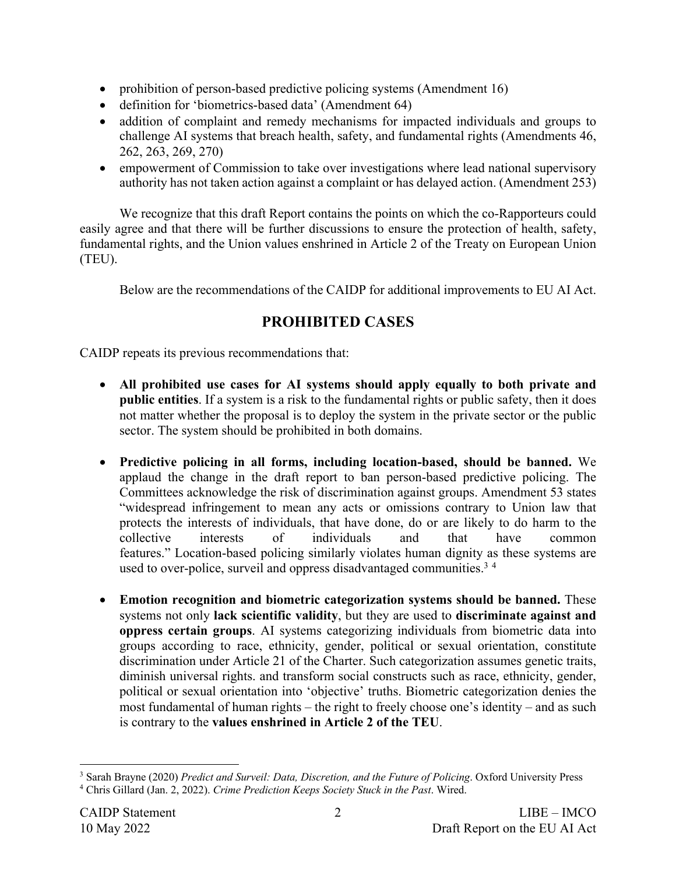- prohibition of person-based predictive policing systems (Amendment 16)
- definition for 'biometrics-based data' (Amendment 64)
- addition of complaint and remedy mechanisms for impacted individuals and groups to challenge AI systems that breach health, safety, and fundamental rights (Amendments 46, 262, 263, 269, 270)
- empowerment of Commission to take over investigations where lead national supervisory authority has not taken action against a complaint or has delayed action. (Amendment 253)

We recognize that this draft Report contains the points on which the co-Rapporteurs could easily agree and that there will be further discussions to ensure the protection of health, safety, fundamental rights, and the Union values enshrined in Article 2 of the Treaty on European Union (TEU).

Below are the recommendations of the CAIDP for additional improvements to EU AI Act.

### **PROHIBITED CASES**

CAIDP repeats its previous recommendations that:

- **All prohibited use cases for AI systems should apply equally to both private and public entities**. If a system is a risk to the fundamental rights or public safety, then it does not matter whether the proposal is to deploy the system in the private sector or the public sector. The system should be prohibited in both domains.
- **Predictive policing in all forms, including location-based, should be banned.** We applaud the change in the draft report to ban person-based predictive policing. The Committees acknowledge the risk of discrimination against groups. Amendment 53 states "widespread infringement to mean any acts or omissions contrary to Union law that protects the interests of individuals, that have done, do or are likely to do harm to the collective interests of individuals and that have common features." Location-based policing similarly violates human dignity as these systems are used to over-police, surveil and oppress disadvantaged communities.<sup>34</sup>
- **Emotion recognition and biometric categorization systems should be banned.** These systems not only **lack scientific validity**, but they are used to **discriminate against and oppress certain groups**. AI systems categorizing individuals from biometric data into groups according to race, ethnicity, gender, political or sexual orientation, constitute discrimination under Article 21 of the Charter. Such categorization assumes genetic traits, diminish universal rights. and transform social constructs such as race, ethnicity, gender, political or sexual orientation into 'objective' truths. Biometric categorization denies the most fundamental of human rights – the right to freely choose one's identity – and as such is contrary to the **values enshrined in Article 2 of the TEU**.

<sup>3</sup> Sarah Brayne (2020) *Predict and Surveil: Data, Discretion, and the Future of Policing*. Oxford University Press <sup>4</sup> Chris Gillard (Jan. 2, 2022). *Crime Prediction Keeps Society Stuck in the Past*. Wired.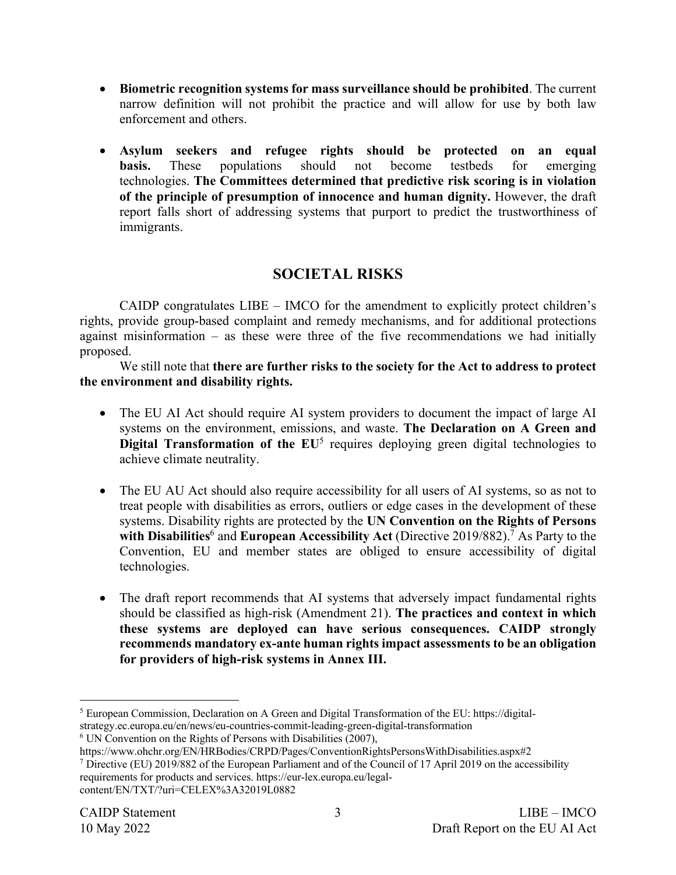- **Biometric recognition systems for mass surveillance should be prohibited**. The current narrow definition will not prohibit the practice and will allow for use by both law enforcement and others.
- **Asylum seekers and refugee rights should be protected on an equal basis.** These populations should not become testbeds for emerging technologies. **The Committees determined that predictive risk scoring is in violation of the principle of presumption of innocence and human dignity.** However, the draft report falls short of addressing systems that purport to predict the trustworthiness of immigrants.

### **SOCIETAL RISKS**

CAIDP congratulates LIBE – IMCO for the amendment to explicitly protect children's rights, provide group-based complaint and remedy mechanisms, and for additional protections against misinformation – as these were three of the five recommendations we had initially proposed.

We still note that **there are further risks to the society for the Act to address to protect the environment and disability rights.**

- The EU AI Act should require AI system providers to document the impact of large AI systems on the environment, emissions, and waste. **The Declaration on A Green and Digital Transformation of the EU<sup>5</sup> requires deploying green digital technologies to** achieve climate neutrality.
- The EU AU Act should also require accessibility for all users of AI systems, so as not to treat people with disabilities as errors, outliers or edge cases in the development of these systems. Disability rights are protected by the **UN Convention on the Rights of Persons**  with Disabilities<sup>6</sup> and **European Accessibility Act** (Directive 2019/882).<sup>7</sup> As Party to the Convention, EU and member states are obliged to ensure accessibility of digital technologies.
- The draft report recommends that AI systems that adversely impact fundamental rights should be classified as high-risk (Amendment 21). **The practices and context in which these systems are deployed can have serious consequences. CAIDP strongly recommends mandatory ex-ante human rights impact assessments to be an obligation for providers of high-risk systems in Annex III.**

<sup>7</sup> Directive (EU) 2019/882 of the European Parliament and of the Council of 17 April 2019 on the accessibility requirements for products and services. https://eur-lex.europa.eu/legalcontent/EN/TXT/?uri=CELEX%3A32019L0882

<sup>5</sup> European Commission, Declaration on A Green and Digital Transformation of the EU: https://digital-

strategy.ec.europa.eu/en/news/eu-countries-commit-leading-green-digital-transformation

 $6$  UN Convention on the Rights of Persons with Disabilities (2007),

https://www.ohchr.org/EN/HRBodies/CRPD/Pages/ConventionRightsPersonsWithDisabilities.aspx#2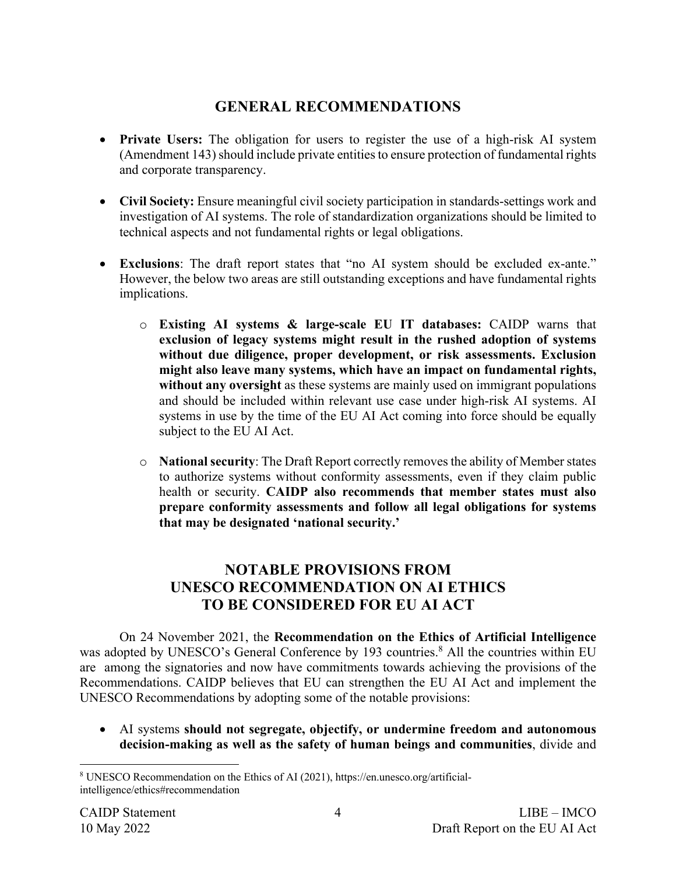# **GENERAL RECOMMENDATIONS**

- **Private Users:** The obligation for users to register the use of a high-risk AI system (Amendment 143) should include private entities to ensure protection of fundamental rights and corporate transparency.
- **Civil Society:** Ensure meaningful civil society participation in standards-settings work and investigation of AI systems. The role of standardization organizations should be limited to technical aspects and not fundamental rights or legal obligations.
- **Exclusions**: The draft report states that "no AI system should be excluded ex-ante." However, the below two areas are still outstanding exceptions and have fundamental rights implications.
	- o **Existing AI systems & large-scale EU IT databases:** CAIDP warns that **exclusion of legacy systems might result in the rushed adoption of systems without due diligence, proper development, or risk assessments. Exclusion might also leave many systems, which have an impact on fundamental rights, without any oversight** as these systems are mainly used on immigrant populations and should be included within relevant use case under high-risk AI systems. AI systems in use by the time of the EU AI Act coming into force should be equally subject to the EU AI Act.
	- o **National security**: The Draft Report correctly removes the ability of Member states to authorize systems without conformity assessments, even if they claim public health or security. **CAIDP also recommends that member states must also prepare conformity assessments and follow all legal obligations for systems that may be designated 'national security.'**

## **NOTABLE PROVISIONS FROM UNESCO RECOMMENDATION ON AI ETHICS TO BE CONSIDERED FOR EU AI ACT**

On 24 November 2021, the **Recommendation on the Ethics of Artificial Intelligence** was adopted by UNESCO's General Conference by 193 countries.<sup>8</sup> All the countries within EU are among the signatories and now have commitments towards achieving the provisions of the Recommendations. CAIDP believes that EU can strengthen the EU AI Act and implement the UNESCO Recommendations by adopting some of the notable provisions:

• AI systems **should not segregate, objectify, or undermine freedom and autonomous decision-making as well as the safety of human beings and communities**, divide and

<sup>8</sup> UNESCO Recommendation on the Ethics of AI (2021), https://en.unesco.org/artificialintelligence/ethics#recommendation